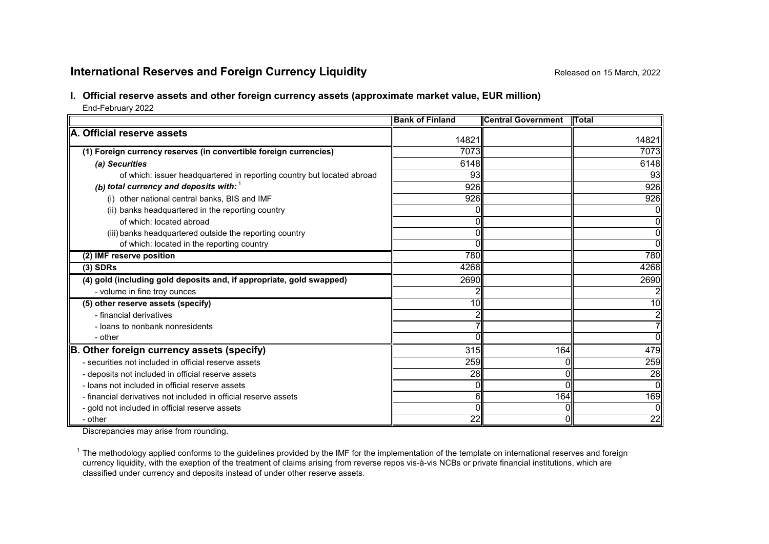# **International Reserves and Foreign Currency Liquidity Reserves and Foreign Currency Liquidity Released on 15 March, 2022**

## **I. Official reserve assets and other foreign currency assets (approximate market value, EUR million)**

End-February 2022

|                                                                        | <b>Bank of Finland</b> | <b>Central Government</b> | <b>ITotal</b>   |
|------------------------------------------------------------------------|------------------------|---------------------------|-----------------|
| A. Official reserve assets                                             | 14821                  |                           | 14821           |
| (1) Foreign currency reserves (in convertible foreign currencies)      | 7073                   |                           | 7073            |
| (a) Securities                                                         | 6148                   |                           | 6148            |
| of which: issuer headquartered in reporting country but located abroad | 93                     |                           | 93              |
| (b) total currency and deposits with: $1$                              | 926                    |                           | 926             |
| (i) other national central banks, BIS and IMF                          | 926                    |                           | 926             |
| (ii) banks headquartered in the reporting country                      |                        |                           | Οl              |
| of which: located abroad                                               |                        |                           | ΟI              |
| (iii) banks headquartered outside the reporting country                |                        |                           | Οl              |
| of which: located in the reporting country                             |                        |                           | $\overline{0}$  |
| (2) IMF reserve position                                               | <b>780</b>             |                           | 780             |
| $(3)$ SDRs                                                             | 4268                   |                           | 4268            |
| (4) gold (including gold deposits and, if appropriate, gold swapped)   | 2690                   |                           | 2690            |
| - volume in fine troy ounces                                           |                        |                           |                 |
| (5) other reserve assets (specify)                                     | 10                     |                           | 10 <sup>1</sup> |
| - financial derivatives                                                |                        |                           | 2               |
| - loans to nonbank nonresidents                                        |                        |                           | 71              |
| - other                                                                |                        |                           | ΩI              |
| B. Other foreign currency assets (specify)                             | 315                    | 164                       | 479             |
| - securities not included in official reserve assets                   | 259                    |                           | 259             |
| - deposits not included in official reserve assets                     | 28                     |                           | 28              |
| - loans not included in official reserve assets                        |                        |                           | $\overline{0}$  |
| - financial derivatives not included in official reserve assets        | 61                     | 164                       | 169             |
| - gold not included in official reserve assets                         |                        |                           | 0I              |
| - other                                                                | 22                     |                           | 22              |

Discrepancies may arise from rounding.

 $1$  The methodology applied conforms to the guidelines provided by the IMF for the implementation of the template on international reserves and foreign currency liquidity, with the exeption of the treatment of claims arising from reverse repos vis-à-vis NCBs or private financial institutions, which are classified under currency and deposits instead of under other reserve assets.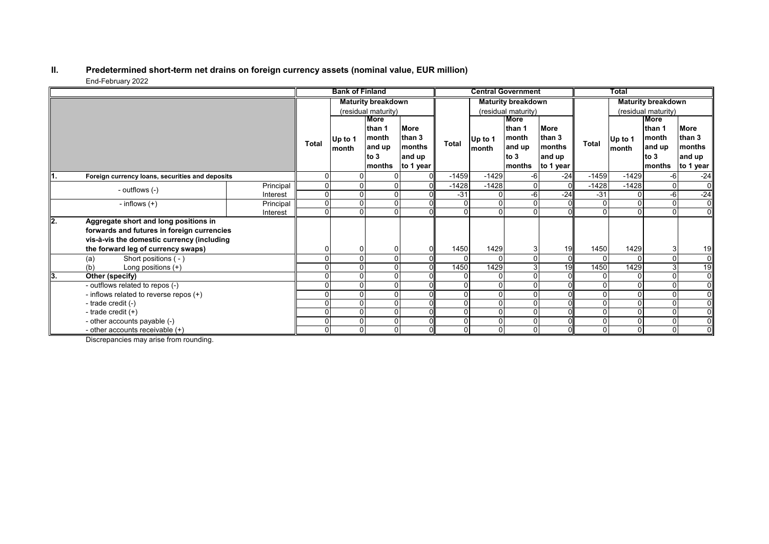#### **II. Predetermined short-term net drains on foreign currency assets (nominal value, EUR million)** End-February 2022

|      |                                                                                                                                                                         |           |                           | <b>Bank of Finland</b> |                                                     |                                                 |              |                  | <b>Central Government</b>                                    |                                                 |              | Total            |                                                              |                                                        |
|------|-------------------------------------------------------------------------------------------------------------------------------------------------------------------------|-----------|---------------------------|------------------------|-----------------------------------------------------|-------------------------------------------------|--------------|------------------|--------------------------------------------------------------|-------------------------------------------------|--------------|------------------|--------------------------------------------------------------|--------------------------------------------------------|
|      |                                                                                                                                                                         |           | <b>Maturity breakdown</b> |                        |                                                     | <b>Maturity breakdown</b>                       |              |                  | <b>Maturity breakdown</b>                                    |                                                 |              |                  |                                                              |                                                        |
|      |                                                                                                                                                                         |           | (residual maturity)       |                        |                                                     | (residual maturity)                             |              |                  |                                                              | (residual maturity)                             |              |                  |                                                              |                                                        |
|      |                                                                                                                                                                         |           | <b>Total</b>              | Up to 1<br>month       | More<br>than 1<br>month<br>and up<br>to 3<br>months | More<br>than 3<br>months<br>and up<br>to 1 year | <b>Total</b> | Up to 1<br>month | <b>More</b><br>than 1<br>month<br>and up<br>to $3$<br>months | More<br>than 3<br>months<br>and up<br>to 1 year | <b>Total</b> | Up to 1<br>month | <b>More</b><br>than 1<br>month<br>and up<br>to $3$<br>months | <b>More</b><br>than 3<br>months<br>and up<br>to 1 year |
| ll1. | Foreign currency loans, securities and deposits                                                                                                                         |           |                           |                        |                                                     |                                                 | $-1459$      | $-1429$          | -6                                                           | $-24$                                           | $-1459$      | $-1429$          | $-6$                                                         | $-24$                                                  |
|      | - outflows (-)                                                                                                                                                          | Principal |                           |                        |                                                     |                                                 | $-1428$      | $-1428$          |                                                              |                                                 | $-1428$      | $-1428$          | $\overline{0}$                                               | $\overline{0}$                                         |
|      |                                                                                                                                                                         | Interest  | 0                         |                        |                                                     |                                                 | $-31$        |                  | -6                                                           | $-24$                                           | $-31$        | 0                | -6                                                           | $-24$                                                  |
|      | - inflows $(+)$                                                                                                                                                         | Principal | $\Omega$                  |                        |                                                     | $\Omega$                                        |              |                  | <sup>n</sup>                                                 |                                                 | $\Omega$     | $\Omega$         | $\Omega$                                                     | $\overline{0}$                                         |
|      |                                                                                                                                                                         | Interest  | O                         |                        |                                                     |                                                 |              |                  |                                                              |                                                 |              |                  | $\cap$                                                       | 0I                                                     |
| l2.  | Aggregate short and long positions in<br>forwards and futures in foreign currencies<br>vis-à-vis the domestic currency (including<br>the forward leg of currency swaps) |           |                           |                        |                                                     |                                                 | 1450         | 1429             |                                                              | 19                                              | 1450         | 1429             | 3                                                            | 19                                                     |
|      | Short positions (-)<br>(a)                                                                                                                                              |           |                           |                        |                                                     |                                                 |              |                  |                                                              | $\Omega$                                        |              |                  | $\Omega$                                                     | $\overline{0}$                                         |
|      | Long positions (+)<br>(b)                                                                                                                                               |           |                           |                        |                                                     |                                                 | 1450         | 1429             |                                                              | 19                                              | 1450         | 1429             | 3                                                            | 19                                                     |
| lЗ.  | Other (specify)                                                                                                                                                         |           |                           |                        |                                                     |                                                 |              |                  |                                                              |                                                 |              | 0                |                                                              | $\overline{0}$                                         |
|      | - outflows related to repos (-)                                                                                                                                         |           |                           |                        |                                                     |                                                 |              |                  |                                                              |                                                 | $\Omega$     | $\Omega$         | $\Omega$                                                     | $\overline{0}$                                         |
|      | - inflows related to reverse repos (+)                                                                                                                                  |           |                           |                        |                                                     |                                                 |              |                  |                                                              |                                                 | $\Omega$     | $\Omega$         | $\Omega$                                                     | $\overline{0}$                                         |
|      | - trade credit (-)                                                                                                                                                      |           |                           |                        |                                                     |                                                 |              |                  |                                                              |                                                 | $\Omega$     | 0                |                                                              | $\overline{0}$                                         |
|      | - trade credit $(+)$                                                                                                                                                    |           |                           |                        | O                                                   | ΟI                                              |              |                  |                                                              |                                                 | $\Omega$     | $\Omega$         | $\Omega$                                                     | $\overline{0}$                                         |
|      | - other accounts payable (-)                                                                                                                                            |           |                           |                        |                                                     |                                                 |              |                  |                                                              |                                                 | $\mathbf{0}$ | $\Omega$         | $\Omega$                                                     | $\overline{0}$                                         |
|      | - other accounts receivable $(+)$                                                                                                                                       |           | 0                         |                        | 0                                                   |                                                 |              | $\Omega$         |                                                              |                                                 | 0            | $\overline{0}$   | $\Omega$                                                     | $\overline{0}$                                         |

Discrepancies may arise from rounding.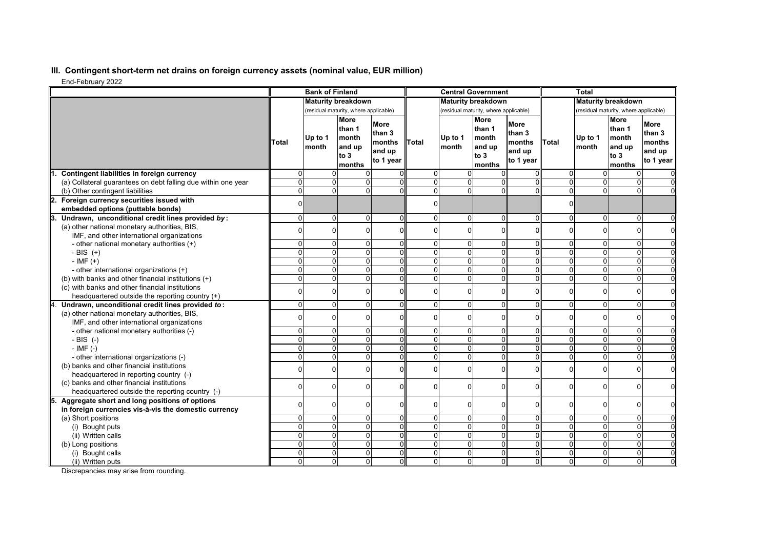## **III. Contingent short-term net drains on foreign currency assets (nominal value, EUR million)**

End-February 2022

| Liiu-i culualy 2022                                                                                 |                      | <b>Bank of Finland</b> |                                                               |                                                        |                |                                       | <b>Central Government</b>                           |                                                        |                                       | <b>Total</b>              |                                                                    |                                                        |
|-----------------------------------------------------------------------------------------------------|----------------------|------------------------|---------------------------------------------------------------|--------------------------------------------------------|----------------|---------------------------------------|-----------------------------------------------------|--------------------------------------------------------|---------------------------------------|---------------------------|--------------------------------------------------------------------|--------------------------------------------------------|
|                                                                                                     |                      |                        | <b>Maturity breakdown</b>                                     |                                                        |                |                                       | <b>Maturity breakdown</b>                           |                                                        |                                       | <b>Maturity breakdown</b> |                                                                    |                                                        |
|                                                                                                     |                      |                        | (residual maturity, where applicable)                         |                                                        |                | (residual maturity, where applicable) |                                                     |                                                        | (residual maturity, where applicable) |                           |                                                                    |                                                        |
|                                                                                                     | Total                | Up to 1<br>month       | <b>More</b><br>than 1<br>Imonth<br>and up<br>to $3$<br>months | <b>More</b><br>than 3<br>months<br>and up<br>to 1 year | <b>Total</b>   | Up to 1<br>month                      | More<br>than 1<br>month<br>and up<br>to 3<br>months | <b>More</b><br>than 3<br>months<br>and up<br>to 1 year | Total                                 | Up to 1<br>month          | <b>More</b><br>than 1<br><b>Imonth</b><br>and up<br>to 3<br>months | <b>More</b><br>than 3<br>months<br>and up<br>to 1 year |
| Contingent liabilities in foreign currency                                                          | $\Omega$             | $\Omega$               |                                                               |                                                        | $\Omega$       | $\Omega$                              | $\Omega$                                            |                                                        | 0                                     | $\Omega$                  | 0                                                                  |                                                        |
| (a) Collateral guarantees on debt falling due within one year                                       | $\Omega$             |                        | $\Omega$<br>$\Omega$                                          | ΩI                                                     | $\Omega$       | $\Omega$                              | $\Omega$                                            | $\Omega$                                               | 0                                     | $\Omega$                  | 0                                                                  |                                                        |
| (b) Other contingent liabilities                                                                    | $\Omega$             |                        | $\Omega$<br>$\Omega$                                          | ΩI                                                     | $\overline{0}$ | $\mathbf{0}$                          | $\overline{0}$                                      | $\Omega$                                               | $\overline{0}$                        | $\overline{0}$            | $\overline{0}$                                                     |                                                        |
| Foreign currency securities issued with                                                             |                      |                        |                                                               |                                                        | $\Omega$       |                                       |                                                     |                                                        | $\Omega$                              |                           |                                                                    |                                                        |
| embedded options (puttable bonds)                                                                   |                      |                        |                                                               |                                                        |                |                                       |                                                     |                                                        |                                       |                           |                                                                    |                                                        |
| Undrawn, unconditional credit lines provided by:                                                    | $\Omega$             |                        | $\Omega$<br>$\Omega$                                          | $\Omega$                                               | $\overline{0}$ | $\Omega$                              | $\Omega$                                            | $\Omega$                                               | 0                                     | 0                         | $\mathbf 0$                                                        | $\Omega$                                               |
| (a) other national monetary authorities, BIS,                                                       |                      | $\Omega$               | $\Omega$                                                      | ΩI                                                     | $\Omega$       | $\Omega$                              | $\Omega$                                            | $\Omega$                                               | 0                                     | $\Omega$                  | $\Omega$                                                           | $\Omega$                                               |
| IMF, and other international organizations                                                          |                      |                        |                                                               |                                                        |                |                                       |                                                     |                                                        |                                       |                           |                                                                    |                                                        |
| - other national monetary authorities (+)                                                           | $\Omega$             |                        | $\Omega$<br>$\Omega$                                          | $\Omega$                                               | $\Omega$       | 0                                     | $\Omega$                                            | $\Omega$                                               | 0                                     | 0                         | $\mathbf 0$                                                        |                                                        |
| - BIS $(+)$                                                                                         | $\Omega$             |                        | $\Omega$<br>$\Omega$                                          | Οl                                                     | $\overline{0}$ | $\mathbf{0}$                          | $\overline{0}$                                      | $\Omega$                                               | 0                                     | $\overline{0}$            | $\overline{0}$                                                     | $\Omega$                                               |
| $-IMF (+)$                                                                                          | $\Omega$<br>$\Omega$ |                        | $\Omega$<br>$\Omega$<br>$\Omega$<br>U                         | $\Omega$<br>ΩI                                         | $\Omega$       | $\Omega$                              | $\Omega$                                            | $\Omega$<br>O                                          | 0                                     | $\overline{0}$            | 0                                                                  | $\Omega$                                               |
| - other international organizations (+)                                                             |                      |                        |                                                               |                                                        | $\Omega$       | $\overline{0}$                        | $\Omega$                                            |                                                        | 0                                     | $\Omega$                  | 0                                                                  | $\Omega$                                               |
| (b) with banks and other financial institutions (+)                                                 | 0                    |                        | $\Omega$<br><sup>0</sup>                                      | $\Omega$                                               | $\overline{0}$ | $\mathbf 0$                           | $\overline{0}$                                      | $\Omega$                                               | 0                                     | $\overline{0}$            | $\mathbf 0$                                                        | 0                                                      |
| (c) with banks and other financial institutions                                                     |                      | $\Omega$               |                                                               | $\Omega$                                               | $\Omega$       | $\Omega$                              | 0                                                   | $\Omega$                                               | 0                                     | 0                         | $\mathbf 0$                                                        | 0                                                      |
| headquartered outside the reporting country (+)<br>Undrawn, unconditional credit lines provided to: | $\Omega$             | $\Omega$               | $\Omega$                                                      | $\Omega$                                               | $\Omega$       | $\Omega$                              | $\Omega$                                            | $\Omega$                                               | 0                                     | 0                         | 0                                                                  | $\Omega$                                               |
| (a) other national monetary authorities, BIS,                                                       |                      |                        |                                                               |                                                        |                |                                       |                                                     |                                                        |                                       |                           |                                                                    |                                                        |
| IMF, and other international organizations                                                          |                      | $\Omega$               | ŋ                                                             | Οl                                                     | $\Omega$       | $\Omega$                              | $\Omega$                                            | $\overline{0}$                                         | 0                                     | 0                         | $\mathbf 0$                                                        | 0                                                      |
|                                                                                                     | $\Omega$             |                        | $\Omega$                                                      | ΩI                                                     | $\overline{0}$ | $\Omega$                              | 0                                                   | $\Omega$                                               | 0                                     | 0                         | $\mathbf 0$                                                        |                                                        |
| - other national monetary authorities (-)<br>$-BIS$ (-)                                             | $\Omega$             |                        | $\Omega$<br>$\Omega$                                          | ΩI                                                     | $\overline{0}$ | $\mathbf 0$                           | $\mathbf 0$                                         | $\Omega$                                               | 0                                     | $\overline{0}$            | $\overline{0}$                                                     | $\Omega$                                               |
| $-IMF(-)$                                                                                           | $\Omega$             |                        | $\Omega$<br>$\Omega$                                          | Οl                                                     | $\overline{0}$ | $\Omega$                              | $\Omega$                                            | $\Omega$                                               | 0                                     | $\overline{0}$            | $\overline{0}$                                                     | $\overline{0}$                                         |
| - other international organizations (-)                                                             | $\Omega$             |                        | $\Omega$<br>ΩI                                                | ΩI                                                     | $\overline{0}$ | $\overline{0}$                        | $\Omega$                                            | U                                                      | 0                                     | $\Omega$                  | 0                                                                  | $\Omega$                                               |
| (b) banks and other financial institutions                                                          |                      |                        |                                                               |                                                        |                |                                       |                                                     |                                                        |                                       |                           |                                                                    |                                                        |
| headquartered in reporting country (-)                                                              | ŋ                    |                        | $\Omega$<br><sup>0</sup>                                      | ΩI                                                     | 0              | $\Omega$                              | $\Omega$                                            | $\Omega$                                               | $\Omega$                              | 0                         | $\mathbf 0$                                                        | $\mathbf 0$                                            |
| (c) banks and other financial institutions                                                          |                      |                        |                                                               |                                                        |                |                                       |                                                     |                                                        |                                       |                           |                                                                    |                                                        |
| headquartered outside the reporting country (-)                                                     |                      | $\Omega$               |                                                               | $\Omega$                                               | $\Omega$       | $\Omega$                              | O                                                   | $\Omega$                                               | 0                                     | $\Omega$                  | $\Omega$                                                           | $\Omega$                                               |
| Aggregate short and long positions of options                                                       |                      |                        |                                                               |                                                        |                |                                       |                                                     |                                                        |                                       |                           |                                                                    |                                                        |
| in foreign currencies vis-à-vis the domestic currency                                               |                      |                        | $\Omega$<br>ŋ                                                 | Οl                                                     | $\Omega$       | $\Omega$                              | $\Omega$                                            | $\Omega$                                               | 0                                     | 0                         | 0                                                                  | $\Omega$                                               |
| (a) Short positions                                                                                 | $\Omega$             |                        | $\Omega$<br><sup>0</sup>                                      | $\Omega$                                               | $\overline{0}$ | $\overline{0}$                        | $\overline{0}$                                      | $\Omega$                                               | 0                                     | 0                         | 0                                                                  | $\Omega$                                               |
| (i) Bought puts                                                                                     | $\Omega$             |                        | $\Omega$<br>$\Omega$                                          | Οl                                                     | $\overline{0}$ | $\mathbf{0}$                          | $\overline{0}$                                      | $\Omega$                                               | 0                                     | $\overline{0}$            | 0                                                                  | $\Omega$                                               |
| (ii) Written calls                                                                                  |                      |                        | $\overline{0}$<br>U                                           | O.                                                     | $\overline{0}$ | $\Omega$                              | $\Omega$                                            | 0                                                      | 0                                     | $\overline{0}$            | $\overline{0}$                                                     | $\overline{0}$                                         |
| (b) Long positions                                                                                  | $\Omega$             |                        | $\Omega$<br>$\Omega$                                          | $\Omega$                                               | $\overline{0}$ | $\mathbf{0}$                          | $\Omega$                                            | $\Omega$                                               | 0                                     | $\Omega$                  | 0                                                                  | $\Omega$                                               |
| (i) Bought calls                                                                                    | $\Omega$             |                        | $\Omega$<br>$\Omega$                                          | ΩI                                                     | $\overline{0}$ | $\mathbf{0}$                          | $\overline{0}$                                      | $\Omega$                                               | 0                                     | $\overline{0}$            | 0                                                                  | $\Omega$                                               |
| (ii) Written puts                                                                                   | $\Omega$             |                        | $\Omega$<br>$\Omega$                                          | Οl                                                     | $\Omega$       | $\mathbf 0$                           | $\overline{0}$                                      | $\overline{0}$                                         | $\Omega$                              | $\overline{0}$            | 0                                                                  | $\Omega$                                               |

Discrepancies may arise from rounding.